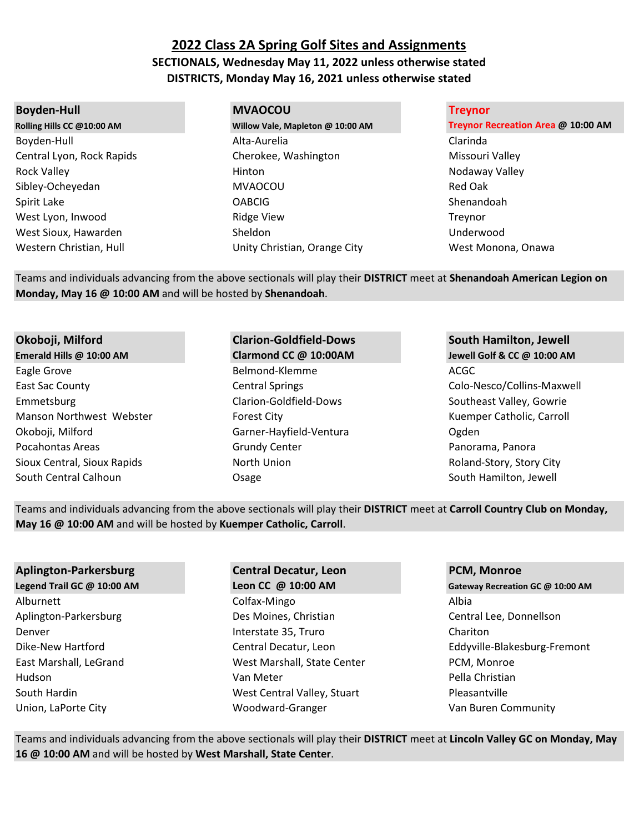# **2022 Class 2A Spring Golf Sites and Assignments SECTIONALS, Wednesday May 11, 2022 unless otherwise stated DISTRICTS, Monday May 16, 2021 unless otherwise stated**

### **Boyden-Hull MVAOCOU Treynor**

Boyden-Hull Alta-Aurelia Clarinda Central Lyon, Rock Rapids Cherokee, Washington Cherokee, Washington Missouri Valley Rock Valley Nodaway Valley Note and Notation Notation Notaway Valley Notaway Valley Sibley-Ocheyedan MVAOCOU Red Oak Spirit Lake **Shenandoah** OABCIG Shenandoah Shenandoah Shenandoah Shenandoah Shenandoah Shenandoah Shenandoah Shenandoah West Lyon, Inwood **Example 2018** Ridge View **The Contract Contract Contract Contract Contract Contract Contract Contract Contract Contract Contract Contract Contract Contract Contract Contract Contract Contract Contract Co** West Sioux, Hawarden Sheldon Sheldon and Disk and Underwood Western Christian, Hull **Western Christian, Hull Christian**, Orange City West Monona, Onawa

**Rolling Hills CC @10:00 AM Willow Vale, Mapleton @ 10:00 AM Treynor Recreation Area @ 10:00 AM**

Teams and individuals advancing from the above sectionals will play their **DISTRICT** meet at **Shenandoah American Legion on Monday, May 16 @ 10:00 AM** and will be hosted by **Shenandoah**.

Eagle Grove and the Second Belmond-Klemme and the Second ACGC East Sac County Central Springs Colo-Nesco/Collins-Maxwell Emmetsburg Clarion-Goldfield-Dows Southeast Valley, Gowrie Manson Northwest Webster Forest City Forest City Nanson Ruemper Catholic, Carroll Okoboji, Milford Garner-Hayfield-Ventura Ogden Pocahontas Areas **Panorama, Panorama, Panorama, Panorama**, Panorama, Panorama, Panorama, Panorama, Panorama, Panora Sioux Central, Sioux Rapids **North Union** North Union Relative Roland-Story, Story City South Central Calhoun **South Central Calhoun** Cosage South Hamilton, Jewell

# **Okoboji, Milford Clarion-Goldfield-Dows South Hamilton, Jewell**

**Emerald Hills @ 10:00 AM Clarmond CC @ 10:00AM Jewell Golf & CC @ 10:00 AM**

Teams and individuals advancing from the above sectionals will play their **DISTRICT** meet at **Carroll Country Club on Monday, May 16 @ 10:00 AM** and will be hosted by **Kuemper Catholic, Carroll**.

### **Aplington-Parkersburg Central Decatur, Leon PCM, Monroe**

Alburnett Colfax-Mingo Albia Aplington-Parkersburg **Des Moines, Christian Central Lee, Donnellson** Central Lee, Donnellson Denver **Interstate 35, Truro** Chariton Chariton East Marshall, LeGrand West Marshall, State Center PCM, Monroe Hudson **National Communist Communist Communist Communist Communist Communist Communist Communist Communist Communist Communist Communist Communist Communist Communist Communist Communist Communist Communist Communist Commu** South Hardin The Counter of the Music West Central Valley, Stuart The Pleasantville Union, LaPorte City **Woodward-Granger** Van Buren Community Van Buren Community

**Legend Trail GC @ 10:00 AM Leon CC @ 10:00 AM Gateway Recreation GC @ 10:00 AM** Dike-New Hartford Central Decatur, Leon Eddyville-Blakesburg-Fremont

Teams and individuals advancing from the above sectionals will play their **DISTRICT** meet at **Lincoln Valley GC on Monday, May 16 @ 10:00 AM** and will be hosted by **West Marshall, State Center**.